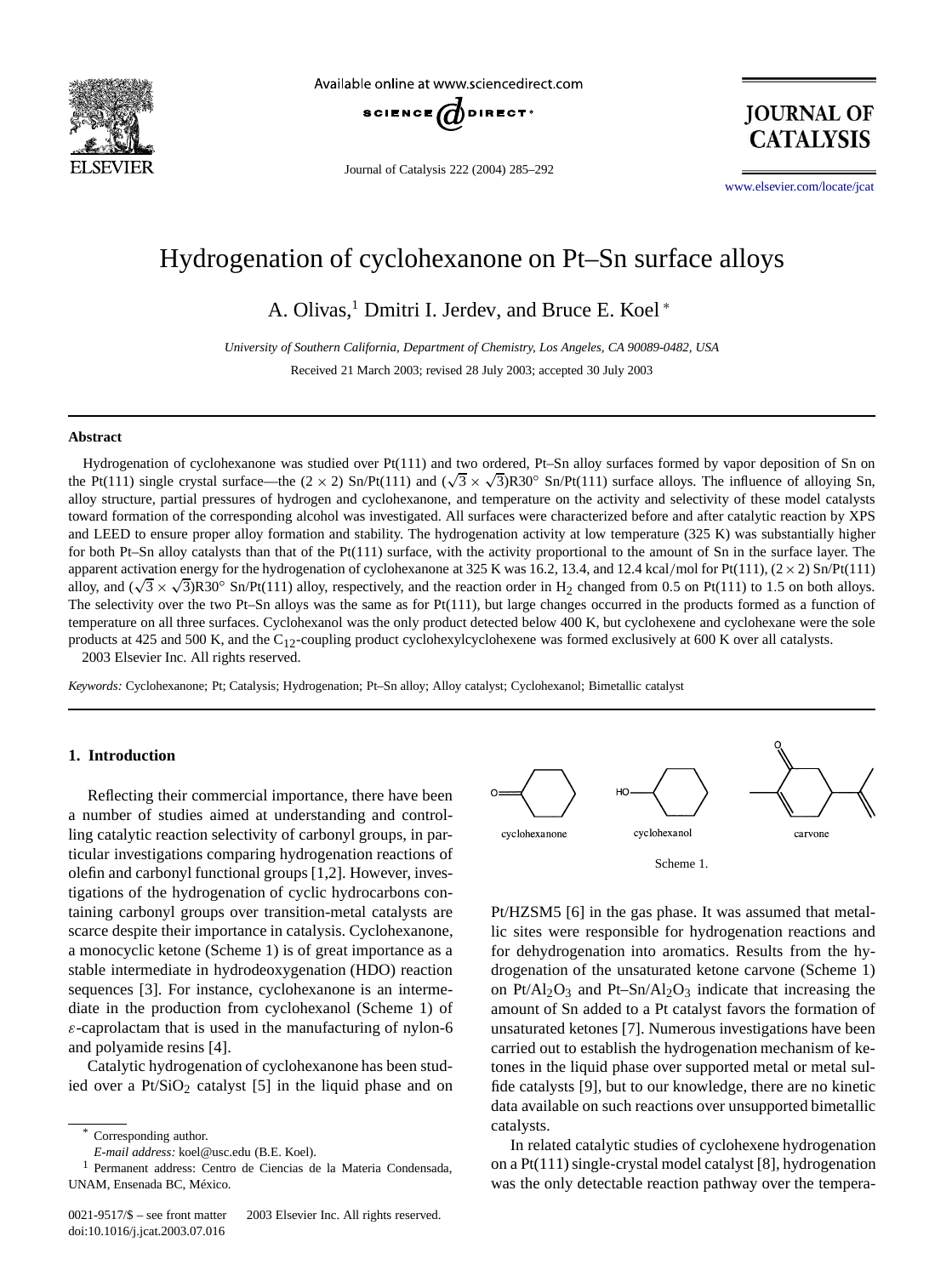

Available online at www.sciencedirect.com



Journal of Catalysis 222 (2004) 285–292

**JOURNAL OF CATALYSIS** 

[www.elsevier.com/locate/jcat](http://www.elsevier.com/locate/jcat)

# Hydrogenation of cyclohexanone on Pt–Sn surface alloys

A. Olivas,<sup>1</sup> Dmitri I. Jerdev, and Bruce E. Koel <sup>∗</sup>

*University of Southern California, Department of Chemistry, Los Angeles, CA 90089-0482, USA* Received 21 March 2003; revised 28 July 2003; accepted 30 July 2003

#### **Abstract**

Hydrogenation of cyclohexanone was studied over Pt(111) and two ordered, Pt–Sn alloy surfaces formed by vapor deposition of Sn on the Pt(111) single crystal surface—the  $(2 \times 2)$  Sn/Pt(111) and  $(\sqrt{3} \times \sqrt{3})$ R30<sup>°</sup> Sn/Pt(111) surface alloys. The influence of alloying Sn, alloy structure, partial pressures of hydrogen and cyclohexanone, and temperature on the activity and selectivity of these model catalysts toward formation of the corresponding alcohol was investigated. All surfaces were characterized before and after catalytic reaction by XPS and LEED to ensure proper alloy formation and stability. The hydrogenation activity at low temperature (325 K) was substantially higher for both Pt–Sn alloy catalysts than that of the Pt(111) surface, with the activity proportional to the amount of Sn in the surface layer. The apparent activation energy for the hydrogenation of cyclohexanone at 325 K was 16.2, 13.4, and 12.4 kcal/mol for Pt(111),  $(2 \times 2)$  Sn/Pt(111) alloy, and  $(\sqrt{3} \times \sqrt{3})R30^\circ$  Sn/Pt(111) alloy, respectively, and the reaction order in H<sub>2</sub> changed from 0.5 on Pt(111) to 1.5 on both alloys. The selectivity over the two Pt–Sn alloys was the same as for Pt(111), but large changes occurred in the products formed as a function of temperature on all three surfaces. Cyclohexanol was the only product detected below 400 K, but cyclohexene and cyclohexane were the sole products at 425 and 500 K, and the C<sub>12</sub>-coupling product cyclohexylcyclohexene was formed exclusively at 600 K over all catalysts. 2003 Elsevier Inc. All rights reserved.

*Keywords:* Cyclohexanone; Pt; Catalysis; Hydrogenation; Pt–Sn alloy; Alloy catalyst; Cyclohexanol; Bimetallic catalyst

# **1. Introduction**

Reflecting their commercial importance, there have been a number of studies aimed at understanding and controlling catalytic reaction selectivity of carbonyl groups, in particular investigations comparing hydrogenation reactions of olefin and carbonyl functional groups [1,2]. However, investigations of the hydrogenation of cyclic hydrocarbons containing carbonyl groups over transition-metal catalysts are scarce despite their importance in catalysis. Cyclohexanone, a monocyclic ketone (Scheme 1) is of great importance as a stable intermediate in hydrodeoxygenation (HDO) reaction sequences [3]. For instance, cyclohexanone is an intermediate in the production from cyclohexanol (Scheme 1) of *ε*-caprolactam that is used in the manufacturing of nylon-6 and polyamide resins [4].

Catalytic hydrogenation of cyclohexanone has been studied over a  $Pt/SiO<sub>2</sub>$  catalyst [5] in the liquid phase and on



Pt/HZSM5 [6] in the gas phase. It was assumed that metallic sites were responsible for hydrogenation reactions and for dehydrogenation into aromatics. Results from the hydrogenation of the unsaturated ketone carvone (Scheme 1) on  $Pt/Al_2O_3$  and  $Pt-Sn/Al_2O_3$  indicate that increasing the amount of Sn added to a Pt catalyst favors the formation of unsaturated ketones [7]. Numerous investigations have been carried out to establish the hydrogenation mechanism of ketones in the liquid phase over supported metal or metal sulfide catalysts [9], but to our knowledge, there are no kinetic data available on such reactions over unsupported bimetallic catalysts.

In related catalytic studies of cyclohexene hydrogenation on a Pt(111) single-crystal model catalyst [8], hydrogenation was the only detectable reaction pathway over the tempera-

Corresponding author.

*E-mail address:* koel@usc.edu (B.E. Koel).

<sup>1</sup> Permanent address: Centro de Ciencias de la Materia Condensada, UNAM, Ensenada BC, México.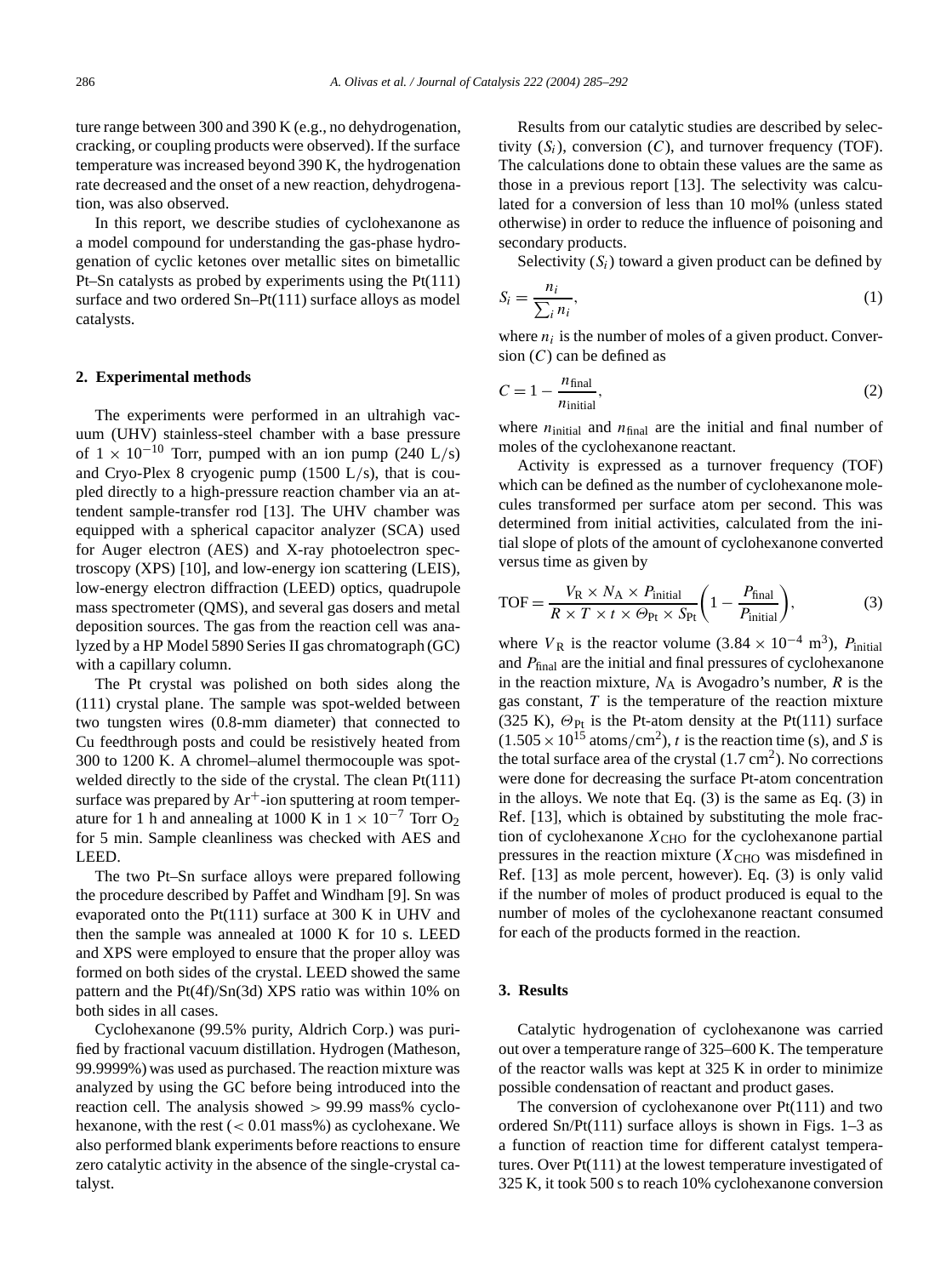ture range between 300 and 390 K (e.g., no dehydrogenation, cracking, or coupling products were observed). If the surface temperature was increased beyond 390 K, the hydrogenation rate decreased and the onset of a new reaction, dehydrogenation, was also observed.

In this report, we describe studies of cyclohexanone as a model compound for understanding the gas-phase hydrogenation of cyclic ketones over metallic sites on bimetallic Pt–Sn catalysts as probed by experiments using the Pt(111) surface and two ordered Sn–Pt(111) surface alloys as model catalysts.

# **2. Experimental methods**

The experiments were performed in an ultrahigh vacuum (UHV) stainless-steel chamber with a base pressure of  $1 \times 10^{-10}$  Torr, pumped with an ion pump (240 L/s) and Cryo-Plex 8 cryogenic pump (1500 L*/*s), that is coupled directly to a high-pressure reaction chamber via an attendent sample-transfer rod [13]. The UHV chamber was equipped with a spherical capacitor analyzer (SCA) used for Auger electron (AES) and X-ray photoelectron spectroscopy (XPS) [10], and low-energy ion scattering (LEIS), low-energy electron diffraction (LEED) optics, quadrupole mass spectrometer (QMS), and several gas dosers and metal deposition sources. The gas from the reaction cell was analyzed by a HP Model 5890 Series II gas chromatograph (GC) with a capillary column.

The Pt crystal was polished on both sides along the (111) crystal plane. The sample was spot-welded between two tungsten wires (0.8-mm diameter) that connected to Cu feedthrough posts and could be resistively heated from 300 to 1200 K. A chromel–alumel thermocouple was spotwelded directly to the side of the crystal. The clean Pt(111) surface was prepared by  $Ar^+$ -ion sputtering at room temperature for 1 h and annealing at 1000 K in  $1 \times 10^{-7}$  Torr O<sub>2</sub> for 5 min. Sample cleanliness was checked with AES and LEED.

The two Pt–Sn surface alloys were prepared following the procedure described by Paffet and Windham [9]. Sn was evaporated onto the Pt(111) surface at 300 K in UHV and then the sample was annealed at 1000 K for 10 s. LEED and XPS were employed to ensure that the proper alloy was formed on both sides of the crystal. LEED showed the same pattern and the Pt(4f)/Sn(3d) XPS ratio was within 10% on both sides in all cases.

Cyclohexanone (99.5% purity, Aldrich Corp.) was purified by fractional vacuum distillation. Hydrogen (Matheson, 99.9999%) was used as purchased. The reaction mixture was analyzed by using the GC before being introduced into the reaction cell. The analysis showed *>* 99*.*99 mass% cyclohexanone, with the rest (*<* 0*.*01 mass%) as cyclohexane. We also performed blank experiments before reactions to ensure zero catalytic activity in the absence of the single-crystal catalyst.

Results from our catalytic studies are described by selectivity  $(S_i)$ , conversion  $(C)$ , and turnover frequency (TOF). The calculations done to obtain these values are the same as those in a previous report [13]. The selectivity was calculated for a conversion of less than 10 mol% (unless stated otherwise) in order to reduce the influence of poisoning and secondary products.

Selectivity  $(S_i)$  toward a given product can be defined by

$$
S_i = \frac{n_i}{\sum_i n_i},\tag{1}
$$

where  $n_i$  is the number of moles of a given product. Conversion (*C*) can be defined as

$$
C = 1 - \frac{n_{\text{final}}}{n_{\text{initial}}},\tag{2}
$$

where  $n_{initial}$  and  $n_{final}$  are the initial and final number of moles of the cyclohexanone reactant.

Activity is expressed as a turnover frequency (TOF) which can be defined as the number of cyclohexanone molecules transformed per surface atom per second. This was determined from initial activities, calculated from the initial slope of plots of the amount of cyclohexanone converted versus time as given by

$$
TOF = \frac{V_R \times N_A \times P_{initial}}{R \times T \times t \times \Theta_{Pt} \times S_{Pt}} \left(1 - \frac{P_{final}}{P_{initial}}\right),
$$
(3)

where  $V_R$  is the reactor volume (3.84 × 10<sup>-4</sup> m<sup>3</sup>),  $P_{initial}$ and  $P_{final}$  are the initial and final pressures of cyclohexanone in the reaction mixture,  $N_A$  is Avogadro's number,  $R$  is the gas constant, *T* is the temperature of the reaction mixture (325 K), *Θ*Pt is the Pt-atom density at the Pt(111) surface  $(1.505 \times 10^{15} \text{ atoms/cm}^2)$ , *t* is the reaction time (s), and *S* is the total surface area of the crystal  $(1.7 \text{ cm}^2)$ . No corrections were done for decreasing the surface Pt-atom concentration in the alloys. We note that Eq. (3) is the same as Eq. (3) in Ref. [13], which is obtained by substituting the mole fraction of cyclohexanone  $X<sub>CHO</sub>$  for the cyclohexanone partial pressures in the reaction mixture  $(X_{CHO}$  was misdefined in Ref. [13] as mole percent, however). Eq. (3) is only valid if the number of moles of product produced is equal to the number of moles of the cyclohexanone reactant consumed for each of the products formed in the reaction.

# **3. Results**

Catalytic hydrogenation of cyclohexanone was carried out over a temperature range of 325–600 K. The temperature of the reactor walls was kept at 325 K in order to minimize possible condensation of reactant and product gases.

The conversion of cyclohexanone over Pt(111) and two ordered Sn/Pt(111) surface alloys is shown in Figs. 1–3 as a function of reaction time for different catalyst temperatures. Over Pt(111) at the lowest temperature investigated of 325 K, it took 500 s to reach 10% cyclohexanone conversion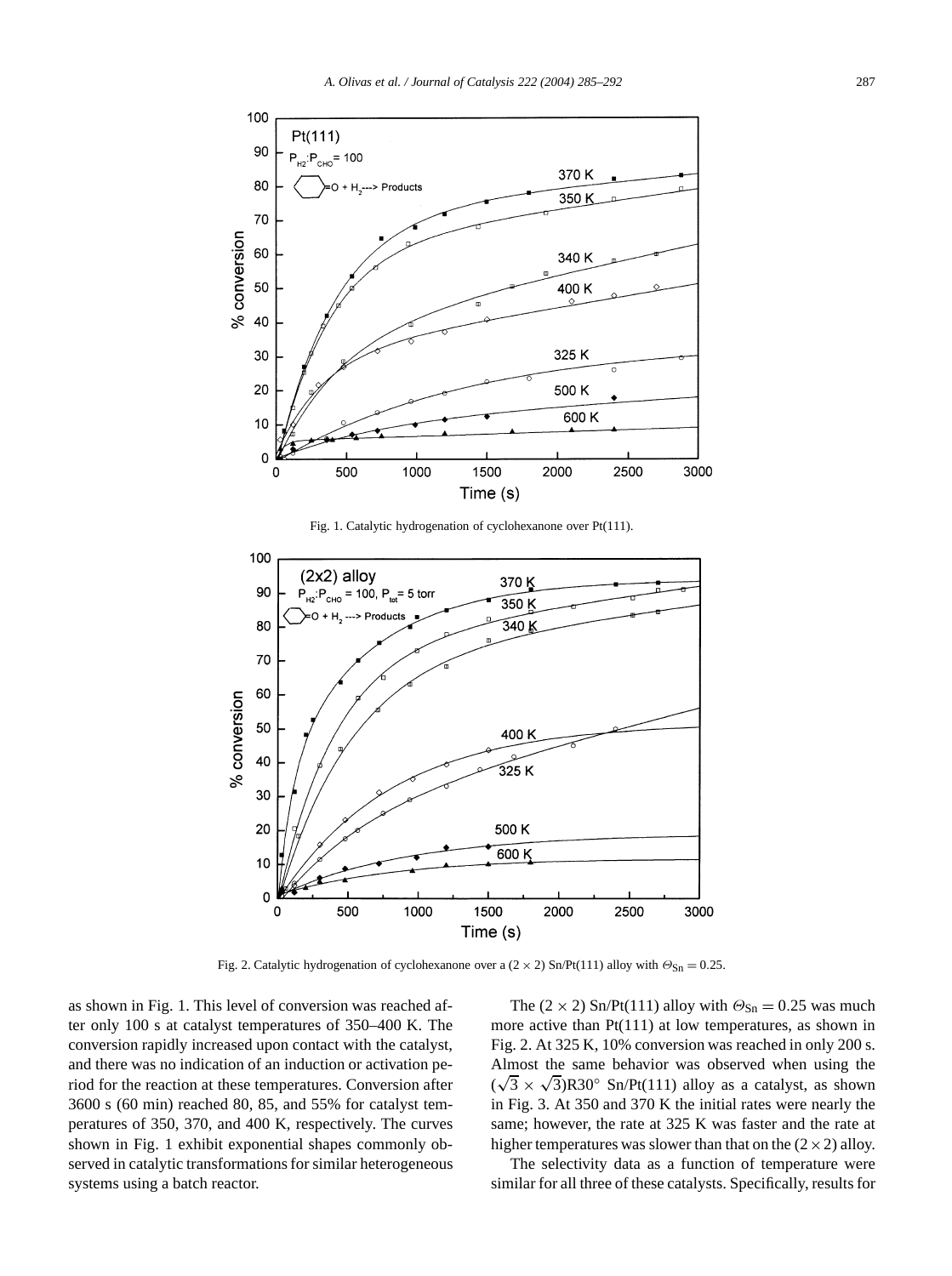



1500

Time (s)

500 K 600 K

2000

2500

as shown in Fig. 1. This level of conversion was reached after only 100 s at catalyst temperatures of 350–400 K. The conversion rapidly increased upon contact with the catalyst, and there was no indication of an induction or activation period for the reaction at these temperatures. Conversion after 3600 s (60 min) reached 80, 85, and 55% for catalyst temperatures of 350, 370, and 400 K, respectively. The curves shown in Fig. 1 exhibit exponential shapes commonly observed in catalytic transformations for similar heterogeneous systems using a batch reactor.

20

 $10$ 

 $\overline{0}$ 

 $\Omega$ 

500

1000

The  $(2 \times 2)$  Sn/Pt(111) alloy with  $\Theta_{\text{Sn}} = 0.25$  was much more active than Pt(111) at low temperatures, as shown in Fig. 2. At 325 K, 10% conversion was reached in only 200 s. Almost the same behavior was observed when using the ( $\sqrt{3} \times \sqrt{3}$ )R30° Sn/Pt(111) alloy as a catalyst, as shown in Fig. 3. At 350 and 370 K the initial rates were nearly the same; however, the rate at 325 K was faster and the rate at higher temperatures was slower than that on the  $(2 \times 2)$  alloy.

3000

The selectivity data as a function of temperature were similar for all three of these catalysts. Specifically, results for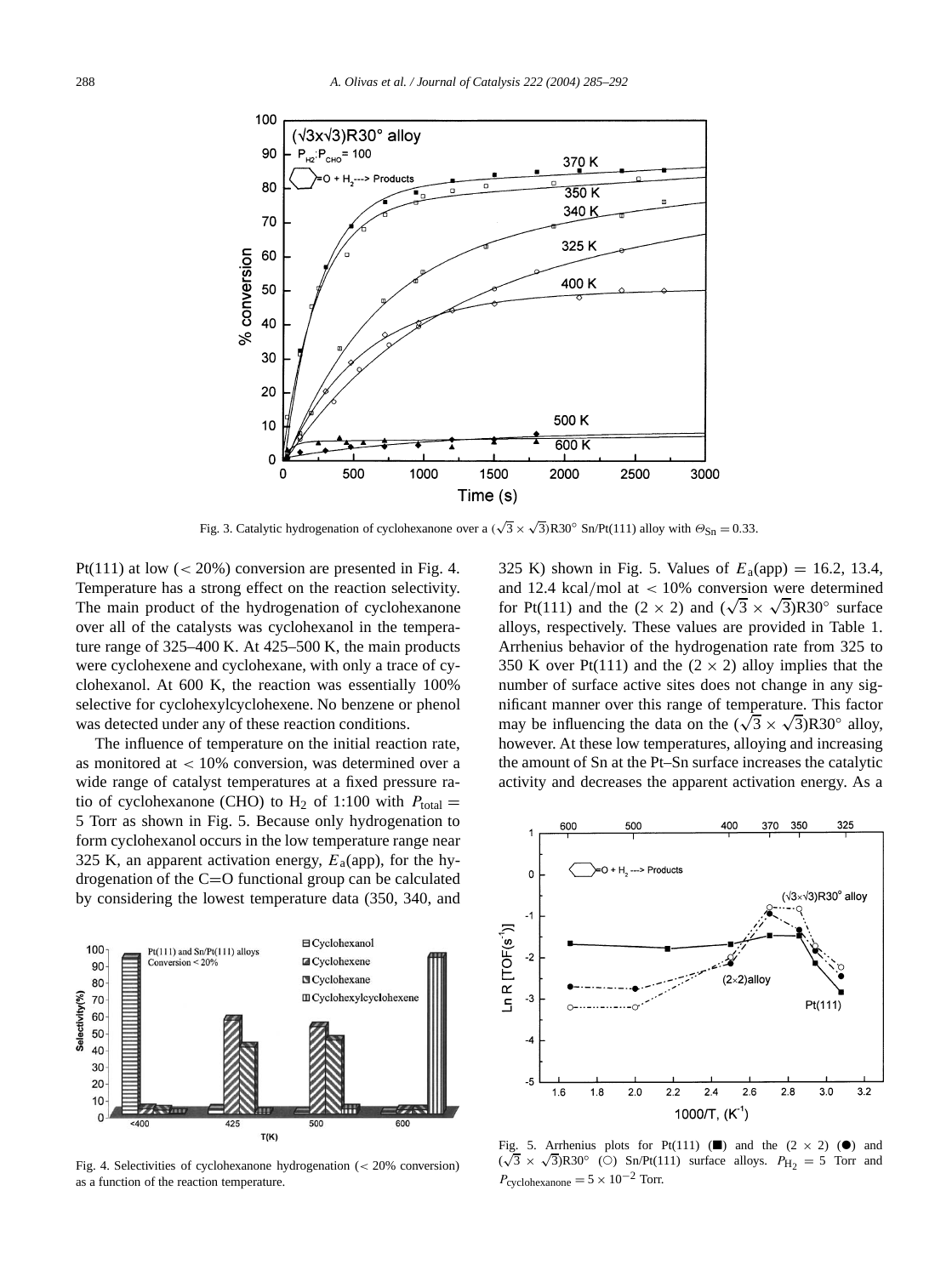

Fig. 3. Catalytic hydrogenation of cyclohexanone over a  $(\sqrt{3} \times \sqrt{3})R30^\circ$  Sn/Pt(111) alloy with  $\Theta_{\text{Sn}} = 0.33$ .

Pt(111) at low  $\left( < 20\% \right)$  conversion are presented in Fig. 4. Temperature has a strong effect on the reaction selectivity. The main product of the hydrogenation of cyclohexanone over all of the catalysts was cyclohexanol in the temperature range of 325–400 K. At 425–500 K, the main products were cyclohexene and cyclohexane, with only a trace of cyclohexanol. At 600 K, the reaction was essentially 100% selective for cyclohexylcyclohexene. No benzene or phenol was detected under any of these reaction conditions.

The influence of temperature on the initial reaction rate, as monitored at *<* 10% conversion, was determined over a wide range of catalyst temperatures at a fixed pressure ratio of cyclohexanone (CHO) to  $H_2$  of 1:100 with  $P_{total} =$ 5 Torr as shown in Fig. 5. Because only hydrogenation to form cyclohexanol occurs in the low temperature range near 325 K, an apparent activation energy,  $E_a$ (app), for the hydrogenation of the C=O functional group can be calculated by considering the lowest temperature data (350, 340, and



Fig. 4. Selectivities of cyclohexanone hydrogenation (*<* 20% conversion) as a function of the reaction temperature.

325 K) shown in Fig. 5. Values of  $E_a$ (app) = 16.2, 13.4, and 12.4 kcal*/*mol at *<* 10% conversion were determined for Pt(111) and the (2 × 2) and ( $\sqrt{3}$  ×  $\sqrt{3}$ )R30° surface alloys, respectively. These values are provided in Table 1. Arrhenius behavior of the hydrogenation rate from 325 to 350 K over Pt(111) and the  $(2 \times 2)$  alloy implies that the number of surface active sites does not change in any significant manner over this range of temperature. This factor may be influencing the data on the  $(\sqrt{3} \times \sqrt{3})$ R30° alloy, however. At these low temperatures, alloying and increasing the amount of Sn at the Pt–Sn surface increases the catalytic activity and decreases the apparent activation energy. As a



Fig. 5. Arrhenius plots for Pt(111) ( $\Box$ ) and the (2 × 2) ( $\bullet$ ) and ( $\sqrt{3}$  ×  $\sqrt{3}$ )R30° (○) Sn/Pt(111) surface alloys.  $P_{H_2} = 5$  Torr and  $P_{\text{cyclohexanone}} = 5 \times 10^{-2}$  Torr.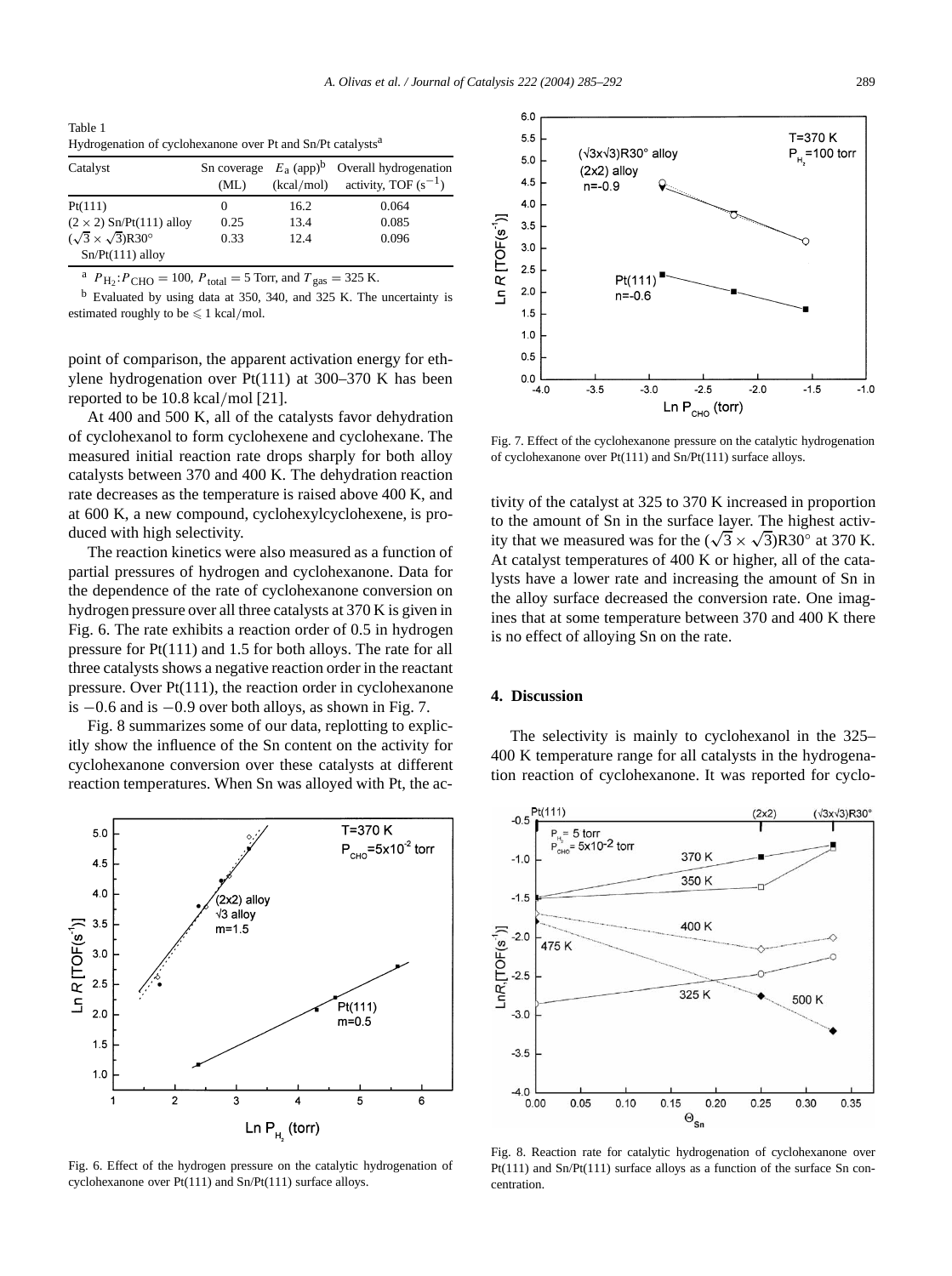Table 1 Hydrogenation of cyclohexanone over Pt and Sn/Pt catalysts<sup>a</sup>

| Catalyst                                                            | (ML) | (kcal/mol) | Sn coverage $E_a$ (app) <sup>b</sup> Overall hydrogenation<br>activity, TOF $(s^{-1})$ |
|---------------------------------------------------------------------|------|------------|----------------------------------------------------------------------------------------|
| Pt(111)                                                             | 0    | 16.2       | 0.064                                                                                  |
| $(2 \times 2)$ Sn/Pt(111) alloy                                     | 0.25 | 13.4       | 0.085                                                                                  |
| $(\sqrt{3} \times \sqrt{3})$ R30 <sup>o</sup><br>$Sn/Pt(111)$ alloy | 0.33 | 12.4       | 0.096                                                                                  |

<sup>a</sup>  $P_{\text{H}_2}$ : $P_{\text{CHO}} = 100$ ,  $P_{\text{total}} = 5$  Torr, and  $T_{\text{gas}} = 325$  K.

<sup>b</sup> Evaluated by using data at 350, 340, and 325 K. The uncertainty is estimated roughly to be  $\leq 1$  kcal/mol.

point of comparison, the apparent activation energy for ethylene hydrogenation over Pt(111) at 300–370 K has been reported to be 10.8 kcal*/*mol [21].

At 400 and 500 K, all of the catalysts favor dehydration of cyclohexanol to form cyclohexene and cyclohexane. The measured initial reaction rate drops sharply for both alloy catalysts between 370 and 400 K. The dehydration reaction rate decreases as the temperature is raised above 400 K, and at 600 K, a new compound, cyclohexylcyclohexene, is produced with high selectivity.

The reaction kinetics were also measured as a function of partial pressures of hydrogen and cyclohexanone. Data for the dependence of the rate of cyclohexanone conversion on hydrogen pressure over all three catalysts at 370 K is given in Fig. 6. The rate exhibits a reaction order of 0.5 in hydrogen pressure for Pt(111) and 1.5 for both alloys. The rate for all three catalysts shows a negative reaction order in the reactant pressure. Over Pt(111), the reaction order in cyclohexanone is −0*.*6 and is −0*.*9 over both alloys, as shown in Fig. 7.

Fig. 8 summarizes some of our data, replotting to explicitly show the influence of the Sn content on the activity for cyclohexanone conversion over these catalysts at different reaction temperatures. When Sn was alloyed with Pt, the ac-



Fig. 6. Effect of the hydrogen pressure on the catalytic hydrogenation of cyclohexanone over Pt(111) and Sn/Pt(111) surface alloys.



Fig. 7. Effect of the cyclohexanone pressure on the catalytic hydrogenation of cyclohexanone over Pt(111) and Sn/Pt(111) surface alloys.

tivity of the catalyst at 325 to 370 K increased in proportion to the amount of Sn in the surface layer. The highest activity that we measured was for the  $(\sqrt{3} \times \sqrt{3})$ R30° at 370 K. At catalyst temperatures of 400 K or higher, all of the catalysts have a lower rate and increasing the amount of Sn in the alloy surface decreased the conversion rate. One imagines that at some temperature between 370 and 400 K there is no effect of alloying Sn on the rate.

#### **4. Discussion**

The selectivity is mainly to cyclohexanol in the 325– 400 K temperature range for all catalysts in the hydrogenation reaction of cyclohexanone. It was reported for cyclo-



Fig. 8. Reaction rate for catalytic hydrogenation of cyclohexanone over Pt(111) and Sn/Pt(111) surface alloys as a function of the surface Sn concentration.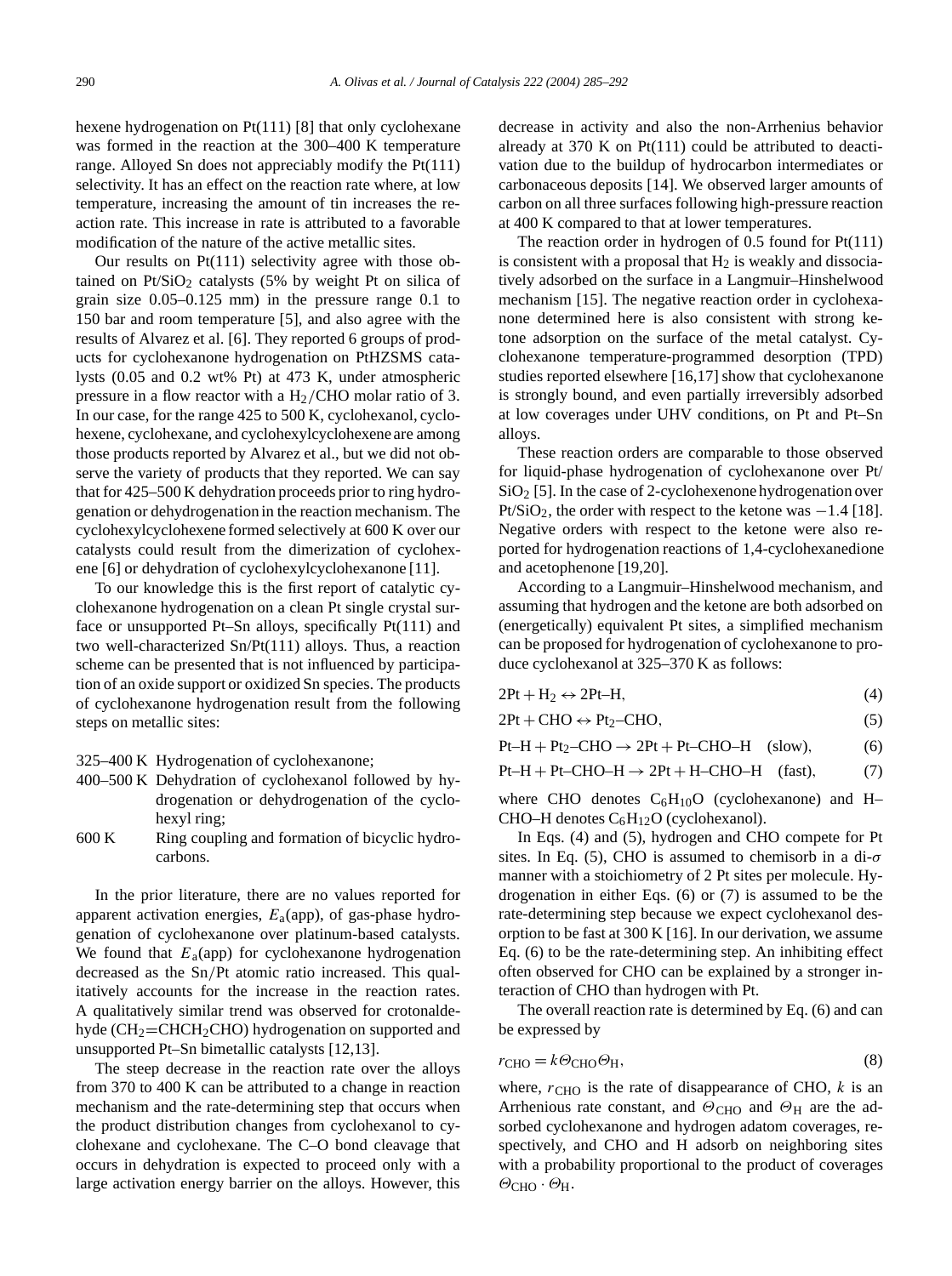hexene hydrogenation on Pt(111) [8] that only cyclohexane was formed in the reaction at the 300–400 K temperature range. Alloyed Sn does not appreciably modify the Pt(111) selectivity. It has an effect on the reaction rate where, at low temperature, increasing the amount of tin increases the reaction rate. This increase in rate is attributed to a favorable modification of the nature of the active metallic sites.

Our results on  $Pt(111)$  selectivity agree with those obtained on  $Pt/SiO<sub>2</sub>$  catalysts (5% by weight Pt on silica of grain size 0.05–0.125 mm) in the pressure range 0.1 to 150 bar and room temperature [5], and also agree with the results of Alvarez et al. [6]. They reported 6 groups of products for cyclohexanone hydrogenation on PtHZSMS catalysts (0.05 and 0.2 wt% Pt) at 473 K, under atmospheric pressure in a flow reactor with a H2*/*CHO molar ratio of 3. In our case, for the range 425 to 500 K, cyclohexanol, cyclohexene, cyclohexane, and cyclohexylcyclohexene are among those products reported by Alvarez et al., but we did not observe the variety of products that they reported. We can say that for 425–500 K dehydration proceeds prior to ring hydrogenation or dehydrogenation in the reaction mechanism. The cyclohexylcyclohexene formed selectively at 600 K over our catalysts could result from the dimerization of cyclohexene [6] or dehydration of cyclohexylcyclohexanone [11].

To our knowledge this is the first report of catalytic cyclohexanone hydrogenation on a clean Pt single crystal surface or unsupported Pt–Sn alloys, specifically Pt(111) and two well-characterized Sn/Pt(111) alloys. Thus, a reaction scheme can be presented that is not influenced by participation of an oxide support or oxidized Sn species. The products of cyclohexanone hydrogenation result from the following steps on metallic sites:

- 325–400 K Hydrogenation of cyclohexanone;
- 400–500 K Dehydration of cyclohexanol followed by hydrogenation or dehydrogenation of the cyclohexyl ring;
- 600 K Ring coupling and formation of bicyclic hydrocarbons.

In the prior literature, there are no values reported for apparent activation energies, *E*a(app), of gas-phase hydrogenation of cyclohexanone over platinum-based catalysts. We found that  $E_a$ (app) for cyclohexanone hydrogenation decreased as the Sn*/*Pt atomic ratio increased. This qualitatively accounts for the increase in the reaction rates. A qualitatively similar trend was observed for crotonaldehyde (CH<sub>2</sub>=CHCH<sub>2</sub>CHO) hydrogenation on supported and unsupported Pt–Sn bimetallic catalysts [12,13].

The steep decrease in the reaction rate over the alloys from 370 to 400 K can be attributed to a change in reaction mechanism and the rate-determining step that occurs when the product distribution changes from cyclohexanol to cyclohexane and cyclohexane. The C–O bond cleavage that occurs in dehydration is expected to proceed only with a large activation energy barrier on the alloys. However, this decrease in activity and also the non-Arrhenius behavior already at 370 K on Pt(111) could be attributed to deactivation due to the buildup of hydrocarbon intermediates or carbonaceous deposits [14]. We observed larger amounts of carbon on all three surfaces following high-pressure reaction at 400 K compared to that at lower temperatures.

The reaction order in hydrogen of 0.5 found for Pt(111) is consistent with a proposal that  $H_2$  is weakly and dissociatively adsorbed on the surface in a Langmuir–Hinshelwood mechanism [15]. The negative reaction order in cyclohexanone determined here is also consistent with strong ketone adsorption on the surface of the metal catalyst. Cyclohexanone temperature-programmed desorption (TPD) studies reported elsewhere [16,17] show that cyclohexanone is strongly bound, and even partially irreversibly adsorbed at low coverages under UHV conditions, on Pt and Pt–Sn alloys.

These reaction orders are comparable to those observed for liquid-phase hydrogenation of cyclohexanone over Pt/  $SiO<sub>2</sub>$  [5]. In the case of 2-cyclohexenone hydrogenation over Pt/SiO<sub>2</sub>, the order with respect to the ketone was −1.4 [18]. Negative orders with respect to the ketone were also reported for hydrogenation reactions of 1,4-cyclohexanedione and acetophenone [19,20].

According to a Langmuir–Hinshelwood mechanism, and assuming that hydrogen and the ketone are both adsorbed on (energetically) equivalent Pt sites, a simplified mechanism can be proposed for hydrogenation of cyclohexanone to produce cyclohexanol at 325–370 K as follows:

| $2Pt + H_2 \leftrightarrow 2Pt-H$ , |  |
|-------------------------------------|--|
|                                     |  |

 $2Pt + CHO \leftrightarrow Pt_2-CHO,$  (5)

 $Pt-H + Pt_2-CHO \rightarrow 2Pt + Pt-CHO-H$  (slow), (6)

 $Pt-H + Pt-CHO-H \rightarrow 2Pt + H-CHO-H$  (fast), (7)

where CHO denotes  $C_6H_{10}O$  (cyclohexanone) and H– CHO–H denotes  $C_6H_{12}O$  (cyclohexanol).

In Eqs. (4) and (5), hydrogen and CHO compete for Pt sites. In Eq. (5), CHO is assumed to chemisorb in a di-*σ* manner with a stoichiometry of 2 Pt sites per molecule. Hydrogenation in either Eqs. (6) or (7) is assumed to be the rate-determining step because we expect cyclohexanol desorption to be fast at 300 K [16]. In our derivation, we assume Eq. (6) to be the rate-determining step. An inhibiting effect often observed for CHO can be explained by a stronger interaction of CHO than hydrogen with Pt.

The overall reaction rate is determined by Eq. (6) and can be expressed by

$$
r_{\text{CHO}} = k \Theta_{\text{CHO}} \Theta_{\text{H}},\tag{8}
$$

where,  $r_{CHO}$  is the rate of disappearance of CHO,  $k$  is an Arrhenious rate constant, and  $\Theta$ <sub>CHO</sub> and  $\Theta$ <sub>H</sub> are the adsorbed cyclohexanone and hydrogen adatom coverages, respectively, and CHO and H adsorb on neighboring sites with a probability proportional to the product of coverages *Θ*CHO · *Θ*H.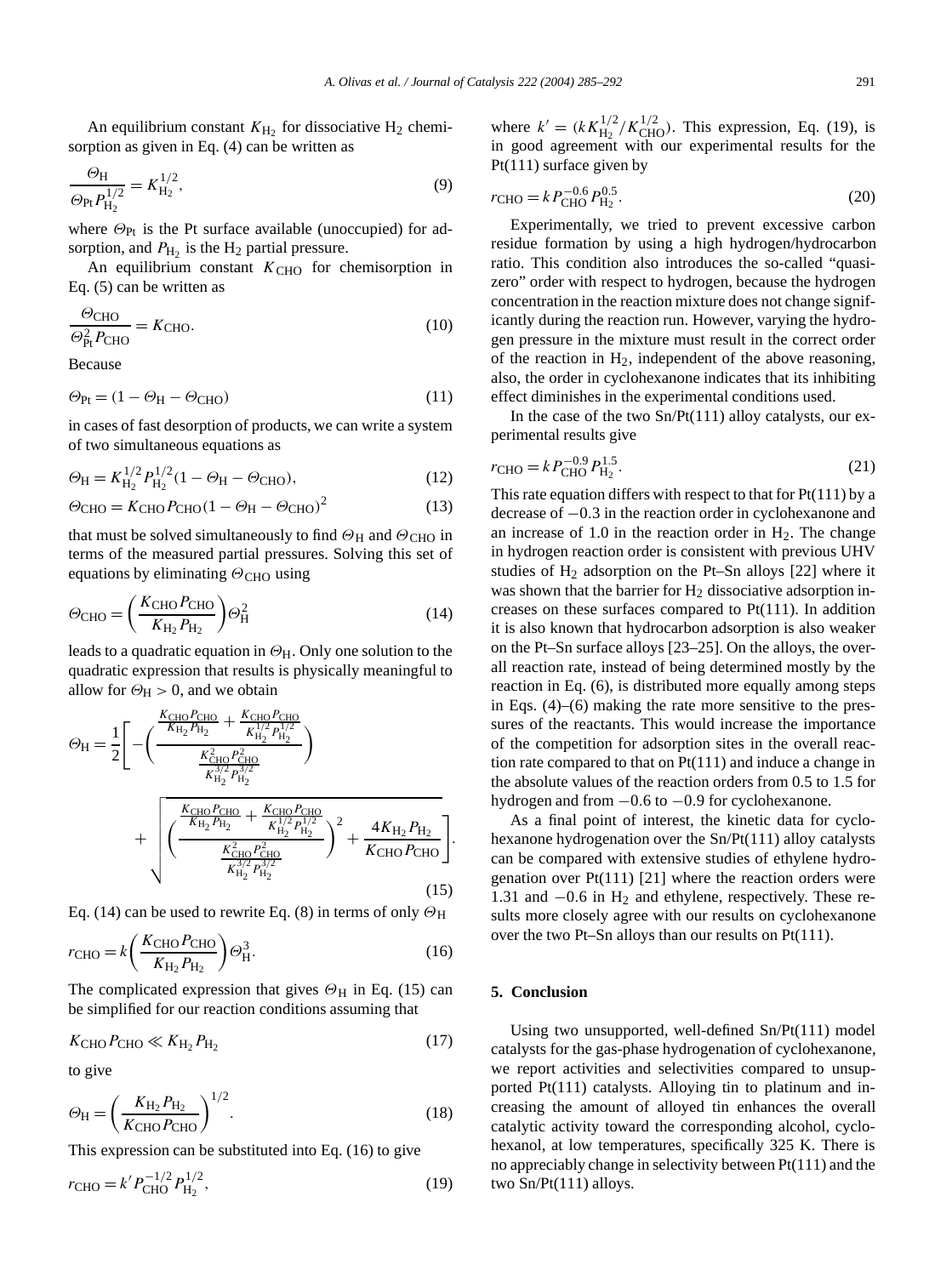An equilibrium constant  $K_{\text{H}_2}$  for dissociative H<sub>2</sub> chemisorption as given in Eq. (4) can be written as

$$
\frac{\Theta_{\rm H}}{\Theta_{\rm Pt} P_{\rm H_2}^{1/2}} = K_{\rm H_2}^{1/2},\tag{9}
$$

where *Θ*<sub>Pt</sub> is the Pt surface available (unoccupied) for adsorption, and  $P_{\text{H}_2}$  is the H<sub>2</sub> partial pressure.

An equilibrium constant  $K<sub>CHO</sub>$  for chemisorption in Eq. (5) can be written as

$$
\frac{\Theta_{\text{CHO}}}{\Theta_{\text{Pt}}^2 P_{\text{CHO}}}=K_{\text{CHO}}.\tag{10}
$$

Because

$$
\Theta_{\text{Pt}} = (1 - \Theta_{\text{H}} - \Theta_{\text{CHO}}) \tag{11}
$$

in cases of fast desorption of products, we can write a system of two simultaneous equations as

$$
\Theta_H = K_{H_2}^{1/2} P_{H_2}^{1/2} (1 - \Theta_H - \Theta_{CHO}), \tag{12}
$$

$$
\Theta_{\text{CHO}} = K_{\text{CHO}} P_{\text{CHO}} (1 - \Theta_{\text{H}} - \Theta_{\text{CHO}})^2 \tag{13}
$$

that must be solved simultaneously to find  $\Theta_H$  and  $\Theta_{CHO}$  in terms of the measured partial pressures. Solving this set of equations by eliminating  $\Theta$ <sub>CHO</sub> using

$$
\Theta_{\text{CHO}} = \left(\frac{K_{\text{CHO}} P_{\text{CHO}}}{K_{\text{H}_2} P_{\text{H}_2}}\right) \Theta_{\text{H}}^2 \tag{14}
$$

leads to a quadratic equation in *Θ*H. Only one solution to the quadratic expression that results is physically meaningful to allow for  $\Theta_H > 0$ , and we obtain

$$
\Theta_{\rm H} = \frac{1}{2} \Bigg[ - \Bigg( \frac{\frac{K_{\rm CHO} P_{\rm CHO}}{K_{\rm H_2} P_{\rm H_2}} + \frac{K_{\rm CHO} P_{\rm CHO}}{K_{\rm H_2}^{1/2} P_{\rm H_2}^{1/2}}}{\frac{K_{\rm HO}^2 P_{\rm H_2}^2}{K_{\rm H_2}^{3/2} P_{\rm H_2}^{3/2}}} \Bigg) + \sqrt{\frac{\frac{K_{\rm CHO} P_{\rm CHO}}{K_{\rm H_2} P_{\rm H_2}} + \frac{K_{\rm CHO} P_{\rm CHO}}{K_{\rm H_2}^{1/2} P_{\rm H_2}^{1/2}}}{\frac{K_{\rm CHO}^2 P_{\rm CHO}^2}{K_{\rm H_2}^{3/2} P_{\rm H_2}^{3/2}}} \Bigg)^2 + \frac{4 K_{\rm H_2} P_{\rm H_2}}{K_{\rm CHO} P_{\rm CHO}} \Bigg]. \tag{15}
$$

Eq. (14) can be used to rewrite Eq. (8) in terms of only  $\Theta_H$ 

$$
r_{\text{CHO}} = k \left( \frac{K_{\text{CHO}} P_{\text{CHO}}}{K_{\text{H}_2} P_{\text{H}_2}} \right) \Theta_H^3. \tag{16}
$$

The complicated expression that gives  $\Theta_H$  in Eq. (15) can be simplified for our reaction conditions assuming that

$$
KCHO PCHO \ll KH2 PH2
$$
 (17)

to give

$$
\Theta_{\rm H} = \left(\frac{K_{\rm H_2} P_{\rm H_2}}{K_{\rm CHO} P_{\rm CHO}}\right)^{1/2}.\tag{18}
$$

This expression can be substituted into Eq. (16) to give

$$
r_{\rm CHO} = k' P_{\rm CHO}^{-1/2} P_{\rm H_2}^{1/2},\tag{19}
$$

where  $k' = (kK_{\text{H}_2}^{1/2}/K_{\text{CHO}}^{1/2})$ . This expression, Eq. (19), is in good agreement with our experimental results for the Pt(111) surface given by

$$
r_{\text{CHO}} = k P_{\text{CHO}}^{-0.6} P_{\text{H}_2}^{0.5}.
$$
\n(20)

Experimentally, we tried to prevent excessive carbon residue formation by using a high hydrogen/hydrocarbon ratio. This condition also introduces the so-called "quasizero" order with respect to hydrogen, because the hydrogen concentration in the reaction mixture does not change significantly during the reaction run. However, varying the hydrogen pressure in the mixture must result in the correct order of the reaction in  $H_2$ , independent of the above reasoning, also, the order in cyclohexanone indicates that its inhibiting effect diminishes in the experimental conditions used.

In the case of the two  $Sn/Pt(111)$  alloy catalysts, our experimental results give

$$
r_{\text{CHO}} = k P_{\text{CHO}}^{-0.9} P_{\text{H}_2}^{1.5}.
$$
 (21)

This rate equation differs with respect to that for  $Pt(111)$  by a decrease of −0*.*3 in the reaction order in cyclohexanone and an increase of  $1.0$  in the reaction order in  $H<sub>2</sub>$ . The change in hydrogen reaction order is consistent with previous UHV studies of  $H_2$  adsorption on the Pt–Sn alloys [22] where it was shown that the barrier for  $H_2$  dissociative adsorption increases on these surfaces compared to Pt(111). In addition it is also known that hydrocarbon adsorption is also weaker on the Pt–Sn surface alloys [23–25]. On the alloys, the overall reaction rate, instead of being determined mostly by the reaction in Eq. (6), is distributed more equally among steps in Eqs. (4)–(6) making the rate more sensitive to the pressures of the reactants. This would increase the importance of the competition for adsorption sites in the overall reaction rate compared to that on  $Pt(111)$  and induce a change in the absolute values of the reaction orders from 0.5 to 1.5 for hydrogen and from −0*.*6 to −0*.*9 for cyclohexanone.

As a final point of interest, the kinetic data for cyclohexanone hydrogenation over the Sn/Pt(111) alloy catalysts can be compared with extensive studies of ethylene hydrogenation over  $Pt(111)$  [21] where the reaction orders were 1.31 and −0*.*6 in H2 and ethylene, respectively. These results more closely agree with our results on cyclohexanone over the two Pt–Sn alloys than our results on Pt(111).

#### **5. Conclusion**

Using two unsupported, well-defined Sn/Pt(111) model catalysts for the gas-phase hydrogenation of cyclohexanone, we report activities and selectivities compared to unsupported Pt(111) catalysts. Alloying tin to platinum and increasing the amount of alloyed tin enhances the overall catalytic activity toward the corresponding alcohol, cyclohexanol, at low temperatures, specifically 325 K. There is no appreciably change in selectivity between Pt(111) and the two Sn/Pt(111) alloys.